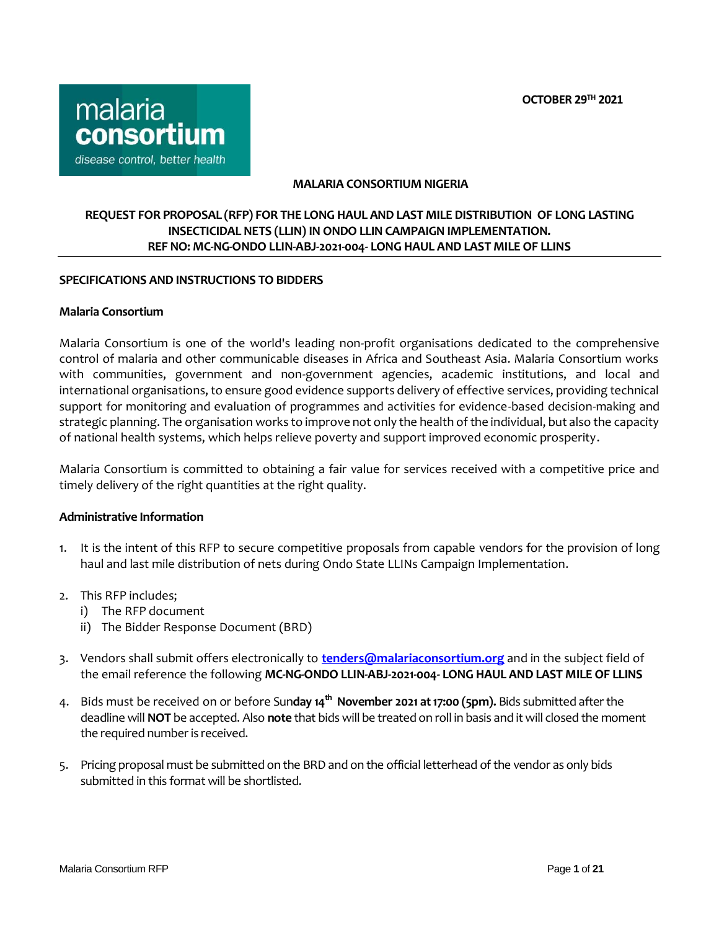**OCTOBER 29TH 2021**



## **MALARIA CONSORTIUM NIGERIA**

## **REQUEST FOR PROPOSAL (RFP) FOR THE LONG HAUL AND LAST MILE DISTRIBUTION OF LONG LASTING INSECTICIDAL NETS (LLIN) IN ONDO LLIN CAMPAIGN IMPLEMENTATION. REF NO: MC-NG-ONDO LLIN-ABJ-2021-004- LONG HAUL AND LAST MILE OF LLINS**

## **SPECIFICATIONS AND INSTRUCTIONS TO BIDDERS**

### **Malaria Consortium**

Malaria Consortium is one of the world's leading non-profit organisations dedicated to the comprehensive control of malaria and other communicable diseases in Africa and Southeast Asia. Malaria Consortium works with communities, government and non-government agencies, academic institutions, and local and international organisations, to ensure good evidence supports delivery of effective services, providing technical support for monitoring and evaluation of programmes and activities for evidence-based decision-making and strategic planning. The organisation works to improve not only the health of the individual, but also the capacity of national health systems, which helps relieve poverty and support improved economic prosperity.

Malaria Consortium is committed to obtaining a fair value for services received with a competitive price and timely delivery of the right quantities at the right quality.

### **Administrative Information**

- 1. It is the intent of this RFP to secure competitive proposals from capable vendors for the provision of long haul and last mile distribution of nets during Ondo State LLINs Campaign Implementation.
- 2. This RFP includes;
	- i) The RFP document
	- ii) The Bidder Response Document (BRD)
- 3. Vendors shall submit offers electronically to **[tenders@malariaconsortium.org](mailto:tenders@malariaconsortium.org)** and in the subject field of the email reference the following **MC-NG-ONDO LLIN-ABJ-2021-004- LONG HAUL AND LAST MILE OF LLINS**
- 4. Bids must be received on or before Sun**day 14th November 2021 at 17:00 (5pm).** Bids submitted after the deadline will **NOT** be accepted. Also **note** that bids will be treated on roll in basis and it will closed the moment the required number is received.
- 5. Pricing proposal must be submitted on the BRD and on the official letterhead of the vendor as only bids submitted in this format will be shortlisted.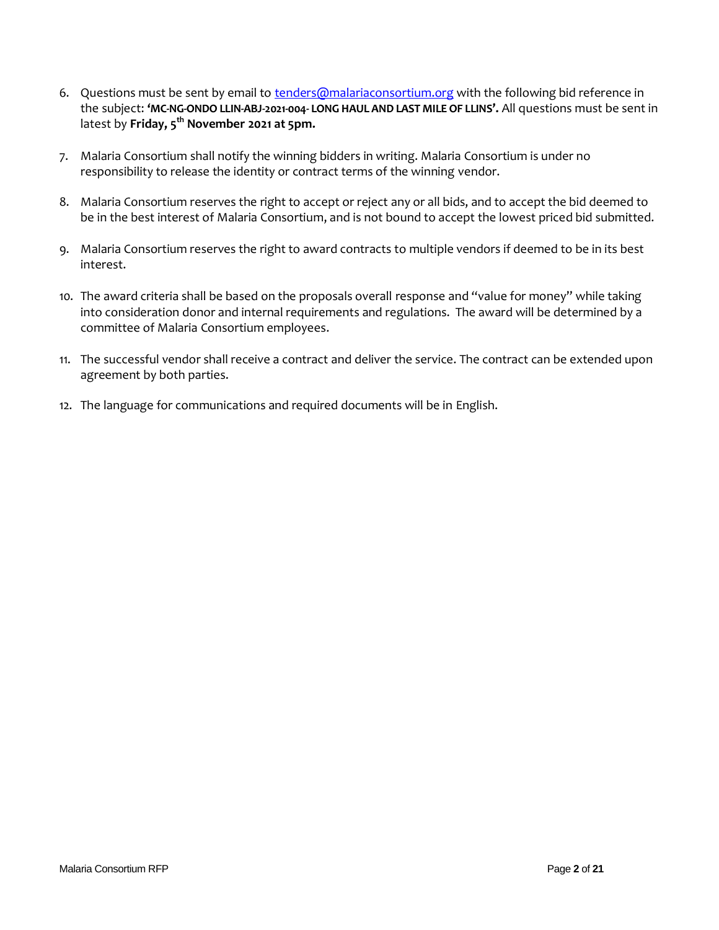- 6. Questions must be sent by email t[o tenders@malariaconsortium.org](mailto:tenders@malariaconsortium.org) with the following bid reference in the subject: **'MC-NG-ONDO LLIN-ABJ-2021-004- LONG HAUL AND LAST MILE OF LLINS'.** All questions must be sent in latest by **Friday, 5 th November 2021 at 5pm.**
- 7. Malaria Consortium shall notify the winning bidders in writing. Malaria Consortium is under no responsibility to release the identity or contract terms of the winning vendor.
- 8. Malaria Consortium reserves the right to accept or reject any or all bids, and to accept the bid deemed to be in the best interest of Malaria Consortium, and is not bound to accept the lowest priced bid submitted.
- 9. Malaria Consortium reserves the right to award contracts to multiple vendors if deemed to be in its best interest.
- 10. The award criteria shall be based on the proposals overall response and "value for money" while taking into consideration donor and internal requirements and regulations. The award will be determined by a committee of Malaria Consortium employees.
- 11. The successful vendor shall receive a contract and deliver the service. The contract can be extended upon agreement by both parties.
- 12. The language for communications and required documents will be in English.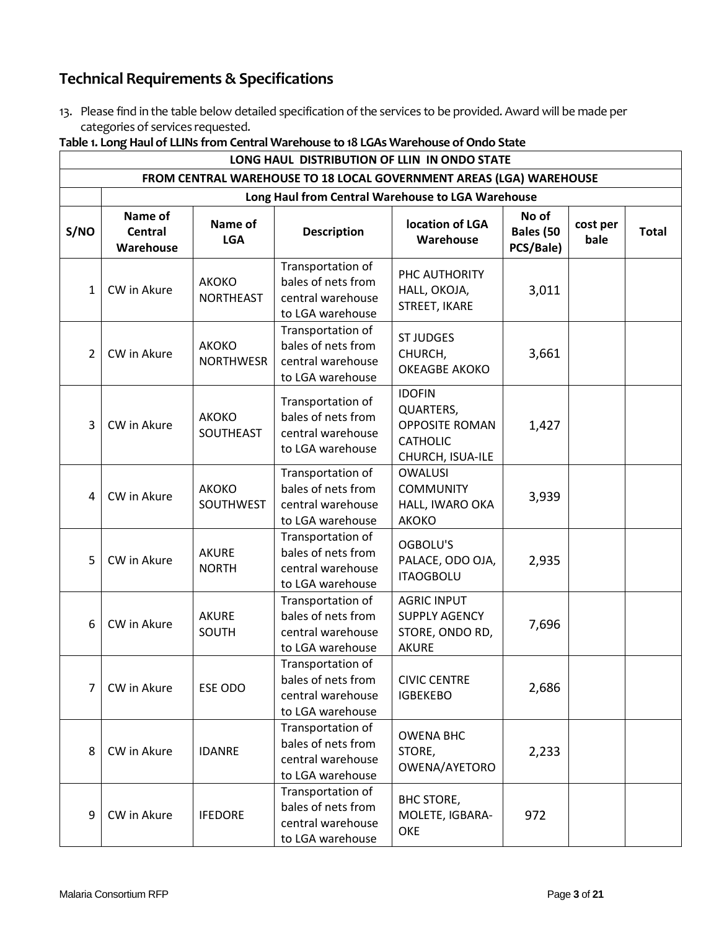# **Technical Requirements & Specifications**

13. Please find in the table below detailed specification of the services to be provided. Award will be made per categories of services requested.

**Table 1. Long Haul of LLINs from Central Warehouse to 18 LGAs Warehouse of Ondo State**

|                | LUNG HAUL DISTRIBUTION OF LLIN TH UNDUSTATE<br>FROM CENTRAL WAREHOUSE TO 18 LOCAL GOVERNMENT AREAS (LGA) WAREHOUSE |                              |                                                                                  |                                                                                            |                                 |                  |              |
|----------------|--------------------------------------------------------------------------------------------------------------------|------------------------------|----------------------------------------------------------------------------------|--------------------------------------------------------------------------------------------|---------------------------------|------------------|--------------|
|                | Long Haul from Central Warehouse to LGA Warehouse                                                                  |                              |                                                                                  |                                                                                            |                                 |                  |              |
| S/NO           | Name of<br><b>Central</b><br>Warehouse                                                                             | Name of<br><b>LGA</b>        | <b>Description</b>                                                               | location of LGA<br>Warehouse                                                               | No of<br>Bales (50<br>PCS/Bale) | cost per<br>bale | <b>Total</b> |
| 1              | CW in Akure                                                                                                        | AKOKO<br><b>NORTHEAST</b>    | Transportation of<br>bales of nets from<br>central warehouse<br>to LGA warehouse | PHC AUTHORITY<br>HALL, OKOJA,<br>STREET, IKARE                                             | 3,011                           |                  |              |
| $\overline{2}$ | CW in Akure                                                                                                        | AKOKO<br><b>NORTHWESR</b>    | Transportation of<br>bales of nets from<br>central warehouse<br>to LGA warehouse | <b>ST JUDGES</b><br>CHURCH,<br>OKEAGBE AKOKO                                               | 3,661                           |                  |              |
| 3              | CW in Akure                                                                                                        | AKOKO<br>SOUTHEAST           | Transportation of<br>bales of nets from<br>central warehouse<br>to LGA warehouse | <b>IDOFIN</b><br>QUARTERS,<br><b>OPPOSITE ROMAN</b><br><b>CATHOLIC</b><br>CHURCH, ISUA-ILE | 1,427                           |                  |              |
| 4              | CW in Akure                                                                                                        | AKOKO<br>SOUTHWEST           | Transportation of<br>bales of nets from<br>central warehouse<br>to LGA warehouse | <b>OWALUSI</b><br><b>COMMUNITY</b><br>HALL, IWARO OKA<br>AKOKO                             | 3,939                           |                  |              |
| 5              | CW in Akure                                                                                                        | <b>AKURE</b><br><b>NORTH</b> | Transportation of<br>bales of nets from<br>central warehouse<br>to LGA warehouse | OGBOLU'S<br>PALACE, ODO OJA,<br><b>ITAOGBOLU</b>                                           | 2,935                           |                  |              |
| 6              | CW in Akure                                                                                                        | <b>AKURE</b><br>SOUTH        | Transportation of<br>bales of nets from<br>central warehouse<br>to LGA warehouse | <b>AGRIC INPUT</b><br><b>SUPPLY AGENCY</b><br>STORE, ONDO RD,<br><b>AKURE</b>              | 7,696                           |                  |              |
| $\overline{7}$ | CW in Akure                                                                                                        | ESE ODO                      | Transportation of<br>bales of nets from<br>central warehouse<br>to LGA warehouse | <b>CIVIC CENTRE</b><br><b>IGBEKEBO</b>                                                     | 2,686                           |                  |              |
| 8              | CW in Akure                                                                                                        | <b>IDANRE</b>                | Transportation of<br>bales of nets from<br>central warehouse<br>to LGA warehouse | <b>OWENA BHC</b><br>STORE,<br>OWENA/AYETORO                                                | 2,233                           |                  |              |
| 9              | CW in Akure                                                                                                        | <b>IFEDORE</b>               | Transportation of<br>bales of nets from<br>central warehouse<br>to LGA warehouse | <b>BHC STORE,</b><br>MOLETE, IGBARA-<br>OKE                                                | 972                             |                  |              |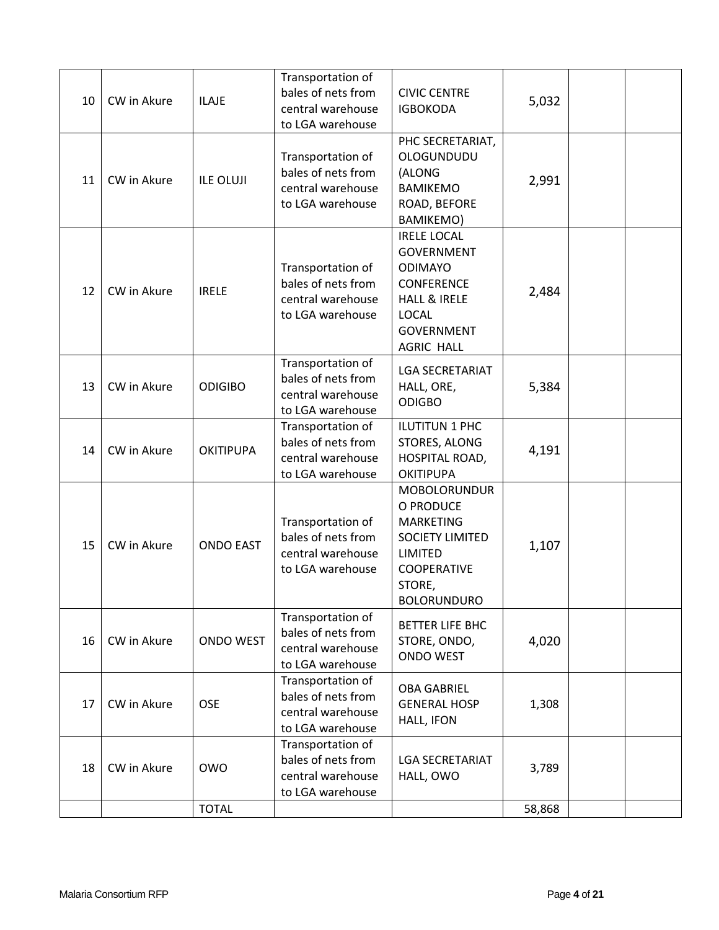| 10 | CW in Akure | <b>ILAJE</b>     | Transportation of<br>bales of nets from<br>central warehouse<br>to LGA warehouse | <b>CIVIC CENTRE</b><br><b>IGBOKODA</b>                                                                                                                       | 5,032  |  |
|----|-------------|------------------|----------------------------------------------------------------------------------|--------------------------------------------------------------------------------------------------------------------------------------------------------------|--------|--|
| 11 | CW in Akure | <b>ILE OLUJI</b> | Transportation of<br>bales of nets from<br>central warehouse<br>to LGA warehouse | PHC SECRETARIAT,<br>OLOGUNDUDU<br>(ALONG<br><b>BAMIKEMO</b><br>ROAD, BEFORE<br>BAMIKEMO)                                                                     | 2,991  |  |
| 12 | CW in Akure | <b>IRELE</b>     | Transportation of<br>bales of nets from<br>central warehouse<br>to LGA warehouse | <b>IRELE LOCAL</b><br><b>GOVERNMENT</b><br><b>ODIMAYO</b><br>CONFERENCE<br><b>HALL &amp; IRELE</b><br><b>LOCAL</b><br><b>GOVERNMENT</b><br><b>AGRIC HALL</b> | 2,484  |  |
| 13 | CW in Akure | <b>ODIGIBO</b>   | Transportation of<br>bales of nets from<br>central warehouse<br>to LGA warehouse | <b>LGA SECRETARIAT</b><br>HALL, ORE,<br><b>ODIGBO</b>                                                                                                        | 5,384  |  |
| 14 | CW in Akure | <b>OKITIPUPA</b> | Transportation of<br>bales of nets from<br>central warehouse<br>to LGA warehouse | ILUTITUN 1 PHC<br>STORES, ALONG<br>HOSPITAL ROAD,<br><b>OKITIPUPA</b>                                                                                        | 4,191  |  |
| 15 | CW in Akure | <b>ONDO EAST</b> | Transportation of<br>bales of nets from<br>central warehouse<br>to LGA warehouse | <b>MOBOLORUNDUR</b><br>O PRODUCE<br><b>MARKETING</b><br><b>SOCIETY LIMITED</b><br>LIMITED<br>COOPERATIVE<br>STORE,<br><b>BOLORUNDURO</b>                     | 1,107  |  |
| 16 | CW in Akure | <b>ONDO WEST</b> | Transportation of<br>bales of nets from<br>central warehouse<br>to LGA warehouse | <b>BETTER LIFE BHC</b><br>STORE, ONDO,<br><b>ONDO WEST</b>                                                                                                   | 4,020  |  |
| 17 | CW in Akure | <b>OSE</b>       | Transportation of<br>bales of nets from<br>central warehouse<br>to LGA warehouse | <b>OBA GABRIEL</b><br><b>GENERAL HOSP</b><br>HALL, IFON                                                                                                      | 1,308  |  |
| 18 | CW in Akure | <b>OWO</b>       | Transportation of<br>bales of nets from<br>central warehouse<br>to LGA warehouse | <b>LGA SECRETARIAT</b><br>HALL, OWO                                                                                                                          | 3,789  |  |
|    |             | <b>TOTAL</b>     |                                                                                  |                                                                                                                                                              | 58,868 |  |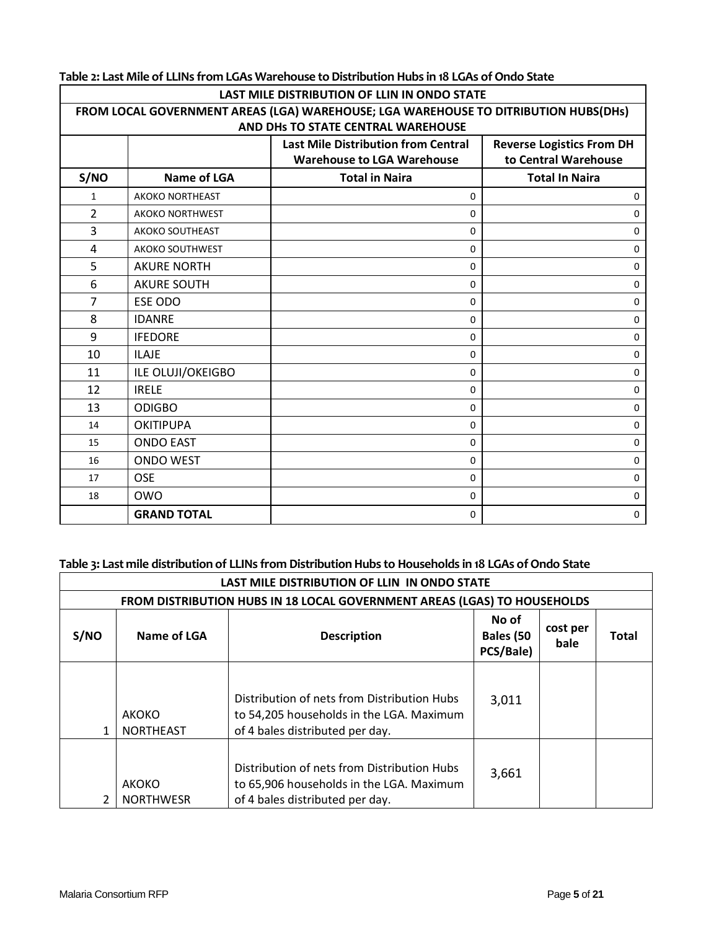**Table 2: Last Mile of LLINs from LGAs Warehouse to Distribution Hubs in 18 LGAs of Ondo State**

|                |                                                                                                                           | <b>LAST MILE DISTRIBUTION OF LLIN IN ONDO STATE</b>                             |                                                          |  |  |  |
|----------------|---------------------------------------------------------------------------------------------------------------------------|---------------------------------------------------------------------------------|----------------------------------------------------------|--|--|--|
|                | FROM LOCAL GOVERNMENT AREAS (LGA) WAREHOUSE; LGA WAREHOUSE TO DITRIBUTION HUBS(DHs)<br>AND DHs TO STATE CENTRAL WAREHOUSE |                                                                                 |                                                          |  |  |  |
|                |                                                                                                                           | <b>Last Mile Distribution from Central</b><br><b>Warehouse to LGA Warehouse</b> | <b>Reverse Logistics From DH</b><br>to Central Warehouse |  |  |  |
| S/NO           | <b>Name of LGA</b>                                                                                                        | <b>Total in Naira</b>                                                           | <b>Total In Naira</b>                                    |  |  |  |
| 1              | <b>AKOKO NORTHEAST</b>                                                                                                    | 0                                                                               | 0                                                        |  |  |  |
| 2              | <b>AKOKO NORTHWEST</b>                                                                                                    | 0                                                                               | 0                                                        |  |  |  |
| 3              | AKOKO SOUTHEAST                                                                                                           | $\Omega$                                                                        | $\Omega$                                                 |  |  |  |
| 4              | AKOKO SOUTHWEST                                                                                                           | 0                                                                               | 0                                                        |  |  |  |
| 5              | <b>AKURE NORTH</b>                                                                                                        | 0                                                                               | 0                                                        |  |  |  |
| 6              | <b>AKURE SOUTH</b>                                                                                                        | 0                                                                               | 0                                                        |  |  |  |
| $\overline{7}$ | ESE ODO                                                                                                                   | $\mathbf 0$                                                                     | 0                                                        |  |  |  |
| 8              | <b>IDANRE</b>                                                                                                             | $\mathbf 0$                                                                     | $\mathbf 0$                                              |  |  |  |
| 9              | <b>IFEDORE</b>                                                                                                            | $\mathbf 0$                                                                     | 0                                                        |  |  |  |
| 10             | <b>ILAJE</b>                                                                                                              | $\mathbf 0$                                                                     | $\mathbf 0$                                              |  |  |  |
| 11             | ILE OLUJI/OKEIGBO                                                                                                         | $\mathbf 0$                                                                     | 0                                                        |  |  |  |
| 12             | <b>IRELE</b>                                                                                                              | $\mathbf 0$                                                                     | $\mathbf 0$                                              |  |  |  |
| 13             | <b>ODIGBO</b>                                                                                                             | $\mathbf 0$                                                                     | $\mathbf 0$                                              |  |  |  |
| 14             | <b>OKITIPUPA</b>                                                                                                          | $\mathbf 0$                                                                     | $\mathbf 0$                                              |  |  |  |
| 15             | <b>ONDO EAST</b>                                                                                                          | $\mathbf 0$                                                                     | $\mathbf 0$                                              |  |  |  |
| 16             | <b>ONDO WEST</b>                                                                                                          | $\mathbf 0$                                                                     | $\mathbf 0$                                              |  |  |  |
| 17             | <b>OSE</b>                                                                                                                | $\mathbf 0$                                                                     | 0                                                        |  |  |  |
| 18             | <b>OWO</b>                                                                                                                | $\mathbf 0$                                                                     | $\mathbf 0$                                              |  |  |  |
|                | <b>GRAND TOTAL</b>                                                                                                        | 0                                                                               | 0                                                        |  |  |  |

## **Table 3: Last mile distribution of LLINs from Distribution Hubs to Households in 18 LGAs of Ondo State LAST MILE DISTRIBUTION OF LLIN IN ONDO STATE**

|      | LAST MILLE DISTRIBUTION OF LLIN TN ONDO STATE                            |                                                                                                                            |                                 |                  |       |  |  |  |
|------|--------------------------------------------------------------------------|----------------------------------------------------------------------------------------------------------------------------|---------------------------------|------------------|-------|--|--|--|
|      | FROM DISTRIBUTION HUBS IN 18 LOCAL GOVERNMENT AREAS (LGAS) TO HOUSEHOLDS |                                                                                                                            |                                 |                  |       |  |  |  |
| S/NO | Name of LGA                                                              | <b>Description</b>                                                                                                         | No of<br>Bales (50<br>PCS/Bale) | cost per<br>bale | Total |  |  |  |
|      | AKOKO<br><b>NORTHEAST</b>                                                | Distribution of nets from Distribution Hubs<br>to 54,205 households in the LGA. Maximum<br>of 4 bales distributed per day. | 3,011                           |                  |       |  |  |  |
|      | <b>AKOKO</b><br><b>NORTHWESR</b>                                         | Distribution of nets from Distribution Hubs<br>to 65,906 households in the LGA. Maximum<br>of 4 bales distributed per day. | 3,661                           |                  |       |  |  |  |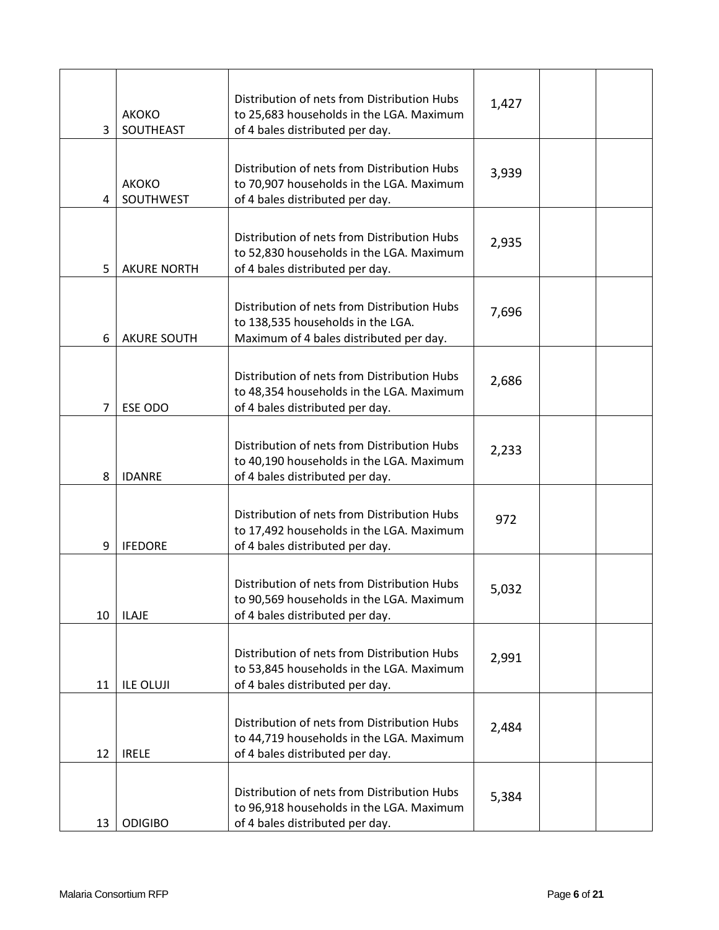| 3              | AKOKO<br>SOUTHEAST        | Distribution of nets from Distribution Hubs<br>to 25,683 households in the LGA. Maximum<br>of 4 bales distributed per day.  | 1,427 |  |
|----------------|---------------------------|-----------------------------------------------------------------------------------------------------------------------------|-------|--|
| 4              | <b>AKOKO</b><br>SOUTHWEST | Distribution of nets from Distribution Hubs<br>to 70,907 households in the LGA. Maximum<br>of 4 bales distributed per day.  | 3,939 |  |
| 5              | <b>AKURE NORTH</b>        | Distribution of nets from Distribution Hubs<br>to 52,830 households in the LGA. Maximum<br>of 4 bales distributed per day.  | 2,935 |  |
| 6              | <b>AKURE SOUTH</b>        | Distribution of nets from Distribution Hubs<br>to 138,535 households in the LGA.<br>Maximum of 4 bales distributed per day. | 7,696 |  |
| $\overline{7}$ | ESE ODO                   | Distribution of nets from Distribution Hubs<br>to 48,354 households in the LGA. Maximum<br>of 4 bales distributed per day.  | 2,686 |  |
| 8              | <b>IDANRE</b>             | Distribution of nets from Distribution Hubs<br>to 40,190 households in the LGA. Maximum<br>of 4 bales distributed per day.  | 2,233 |  |
| 9              | <b>IFEDORE</b>            | Distribution of nets from Distribution Hubs<br>to 17,492 households in the LGA. Maximum<br>of 4 bales distributed per day.  | 972   |  |
| 10             | <b>ILAJE</b>              | Distribution of nets from Distribution Hubs<br>to 90,569 households in the LGA. Maximum<br>of 4 bales distributed per day.  | 5,032 |  |
| 11             | ILE OLUJI                 | Distribution of nets from Distribution Hubs<br>to 53,845 households in the LGA. Maximum<br>of 4 bales distributed per day.  | 2,991 |  |
| 12             | <b>IRELE</b>              | Distribution of nets from Distribution Hubs<br>to 44,719 households in the LGA. Maximum<br>of 4 bales distributed per day.  | 2,484 |  |
| 13             | <b>ODIGIBO</b>            | Distribution of nets from Distribution Hubs<br>to 96,918 households in the LGA. Maximum<br>of 4 bales distributed per day.  | 5,384 |  |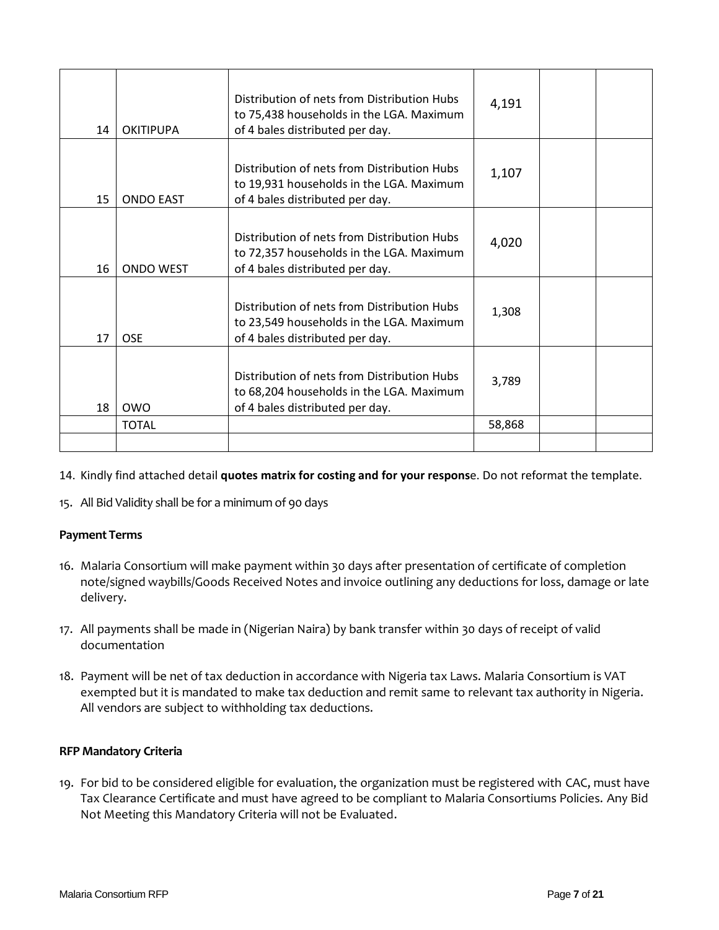| 14 | <b>OKITIPUPA</b> | Distribution of nets from Distribution Hubs<br>to 75,438 households in the LGA. Maximum<br>of 4 bales distributed per day. | 4,191  |  |
|----|------------------|----------------------------------------------------------------------------------------------------------------------------|--------|--|
| 15 | <b>ONDO EAST</b> | Distribution of nets from Distribution Hubs<br>to 19,931 households in the LGA. Maximum<br>of 4 bales distributed per day. | 1,107  |  |
| 16 | <b>ONDO WEST</b> | Distribution of nets from Distribution Hubs<br>to 72,357 households in the LGA. Maximum<br>of 4 bales distributed per day. | 4,020  |  |
| 17 | <b>OSE</b>       | Distribution of nets from Distribution Hubs<br>to 23,549 households in the LGA. Maximum<br>of 4 bales distributed per day. | 1,308  |  |
| 18 | <b>OWO</b>       | Distribution of nets from Distribution Hubs<br>to 68,204 households in the LGA. Maximum<br>of 4 bales distributed per day. | 3,789  |  |
|    | <b>TOTAL</b>     |                                                                                                                            | 58,868 |  |
|    |                  |                                                                                                                            |        |  |

14. Kindly find attached detail **quotes matrix for costing and for your respons**e. Do not reformat the template.

15. All Bid Validity shall be for a minimum of 90 days

## **Payment Terms**

- 16. Malaria Consortium will make payment within 30 days after presentation of certificate of completion note/signed waybills/Goods Received Notes and invoice outlining any deductions for loss, damage or late delivery.
- 17. All payments shall be made in (Nigerian Naira) by bank transfer within 30 days of receipt of valid documentation
- 18. Payment will be net of tax deduction in accordance with Nigeria tax Laws. Malaria Consortium is VAT exempted but it is mandated to make tax deduction and remit same to relevant tax authority in Nigeria. All vendors are subject to withholding tax deductions.

## **RFP Mandatory Criteria**

19. For bid to be considered eligible for evaluation, the organization must be registered with CAC, must have Tax Clearance Certificate and must have agreed to be compliant to Malaria Consortiums Policies. Any Bid Not Meeting this Mandatory Criteria will not be Evaluated.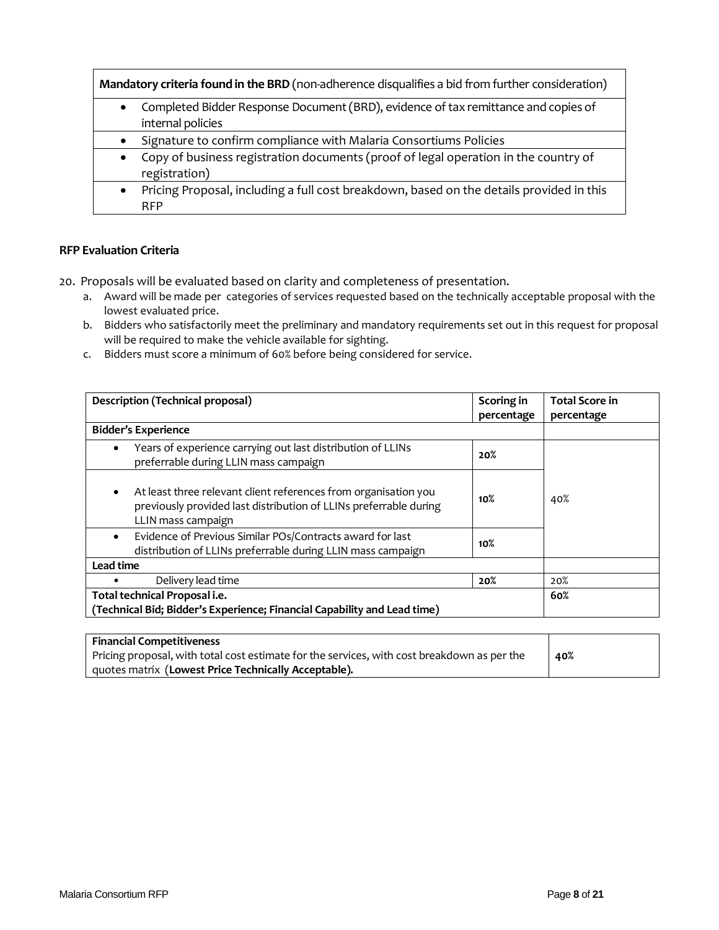**Mandatory criteria found in the BRD** (non-adherence disqualifies a bid from further consideration)

- Completed Bidder Response Document (BRD), evidence of tax remittance and copies of internal policies
- Signature to confirm compliance with Malaria Consortiums Policies
- Copy of business registration documents (proof of legal operation in the country of registration)
- Pricing Proposal, including a full cost breakdown, based on the details provided in this RFP

## **RFP Evaluation Criteria**

20. Proposals will be evaluated based on clarity and completeness of presentation.

- a. Award will be made per categories of services requested based on the technically acceptable proposal with the lowest evaluated price.
- b. Bidders who satisfactorily meet the preliminary and mandatory requirements set out in this request for proposal will be required to make the vehicle available for sighting.
- c. Bidders must score a minimum of 60% before being considered for service.

| <b>Description (Technical proposal)</b>                                                                                                                         | <b>Total Score in</b><br>percentage |     |
|-----------------------------------------------------------------------------------------------------------------------------------------------------------------|-------------------------------------|-----|
| <b>Bidder's Experience</b>                                                                                                                                      |                                     |     |
| Years of experience carrying out last distribution of LLINs<br>preferrable during LLIN mass campaign                                                            | 20%                                 |     |
| At least three relevant client references from organisation you<br>٠<br>previously provided last distribution of LLINs preferrable during<br>LLIN mass campaign | 10%                                 | 40% |
| Evidence of Previous Similar POs/Contracts award for last<br>distribution of LLINs preferrable during LLIN mass campaign                                        | $10\%$                              |     |
| Lead time                                                                                                                                                       |                                     |     |
| Delivery lead time                                                                                                                                              | 20%                                 |     |
| Total technical Proposal i.e.                                                                                                                                   | 60%                                 |     |
| (Technical Bid; Bidder's Experience; Financial Capability and Lead time)                                                                                        |                                     |     |

| <b>Financial Competitiveness</b>                                                            |     |
|---------------------------------------------------------------------------------------------|-----|
| Pricing proposal, with total cost estimate for the services, with cost breakdown as per the | 40% |
| quotes matrix (Lowest Price Technically Acceptable).                                        |     |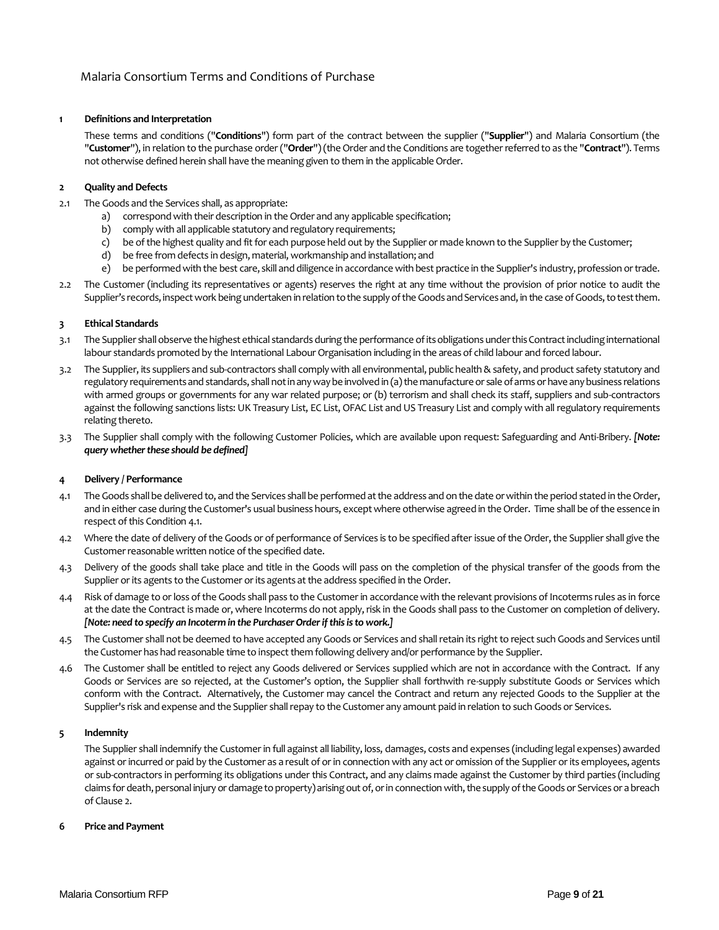### **1 Definitions and Interpretation**

These terms and conditions ("**Conditions**") form part of the contract between the supplier ("**Supplier**") and Malaria Consortium (the "**Customer**"), in relation to the purchase order ("**Order**") (the Order and the Conditions are together referred to as the "**Contract**"). Terms not otherwise defined herein shall have the meaning given to them in the applicable Order.

### **2 Quality and Defects**

- 2.1 The Goods and the Services shall, as appropriate:
	- a) correspond with their description in the Order and any applicable specification;
	- b) comply with all applicable statutory and regulatory requirements;
	- c) be of the highest quality and fit for each purpose held out by the Supplier or made known to the Supplier by the Customer;
	- d) be free from defects in design, material, workmanship and installation; and
	- e) be performed with the best care, skill and diligence in accordance with best practice in the Supplier's industry, profession or trade.
- 2.2 The Customer (including its representatives or agents) reserves the right at any time without the provision of prior notice to audit the Supplier's records, inspect work being undertaken in relation to the supply of the Goods and Services and, in the case of Goods, to test them.

### **3 Ethical Standards**

- 3.1 The Supplier shall observe the highest ethical standards during the performance of its obligations under this Contract including international labour standards promoted by the International Labour Organisation including in the areas of child labour and forced labour.
- 3.2 The Supplier, its suppliers and sub-contractors shall comply with all environmental, public health & safety, and product safety statutory and regulatory requirements and standards, shall not in any way be involved in (a) the manufacture or sale of arms or have any business relations with armed groups or governments for any war related purpose; or (b) terrorism and shall check its staff, suppliers and sub-contractors against the following sanctions lists: UK Treasury List, EC List, OFAC List and US Treasury List and comply with all regulatory requirements relating thereto.
- 3.3 The Supplier shall comply with the following Customer Policies, which are available upon request: Safeguarding and Anti-Bribery. *[Note: query whether these should be defined]*

### **4 Delivery / Performance**

- 4.1 The Goods shall be delivered to, and the Services shall be performed at the address and on the date or within the period stated in the Order, and in either case during the Customer's usual business hours, except where otherwise agreed in the Order. Time shall be of the essence in respect of this Condition 4.1.
- 4.2 Where the date of delivery of the Goods or of performance of Services is to be specified after issue of the Order, the Supplier shall give the Customer reasonable written notice of the specified date.
- 4.3 Delivery of the goods shall take place and title in the Goods will pass on the completion of the physical transfer of the goods from the Supplier or its agents to the Customer or its agents at the address specified in the Order.
- 4.4 Risk of damage to or loss of the Goods shall pass to the Customer in accordance with the relevant provisions of Incoterms rules as in force at the date the Contract is made or, where Incoterms do not apply, risk in the Goods shall pass to the Customer on completion of delivery. *[Note: need to specify an Incoterm in the Purchaser Order if this is to work.]*
- 4.5 The Customer shall not be deemed to have accepted any Goods or Services and shall retain its right to reject such Goods and Services until the Customer has had reasonable time to inspect them following delivery and/or performance by the Supplier.
- 4.6 The Customer shall be entitled to reject any Goods delivered or Services supplied which are not in accordance with the Contract. If any Goods or Services are so rejected, at the Customer's option, the Supplier shall forthwith re-supply substitute Goods or Services which conform with the Contract. Alternatively, the Customer may cancel the Contract and return any rejected Goods to the Supplier at the Supplier's risk and expense and the Supplier shall repay to the Customer any amount paid in relation to such Goods or Services.

### **5 Indemnity**

The Supplier shall indemnify the Customer in full against all liability, loss, damages, costs and expenses (including legal expenses) awarded against or incurred or paid by the Customer as a result of or in connection with any act or omission of the Supplier or its employees, agents or sub-contractors in performing its obligations under this Contract, and any claims made against the Customer by third parties (including claims for death, personal injury or damage to property) arising out of, or in connection with, the supply of the Goods or Services or a breach of Clause 2.

### **6 Price and Payment**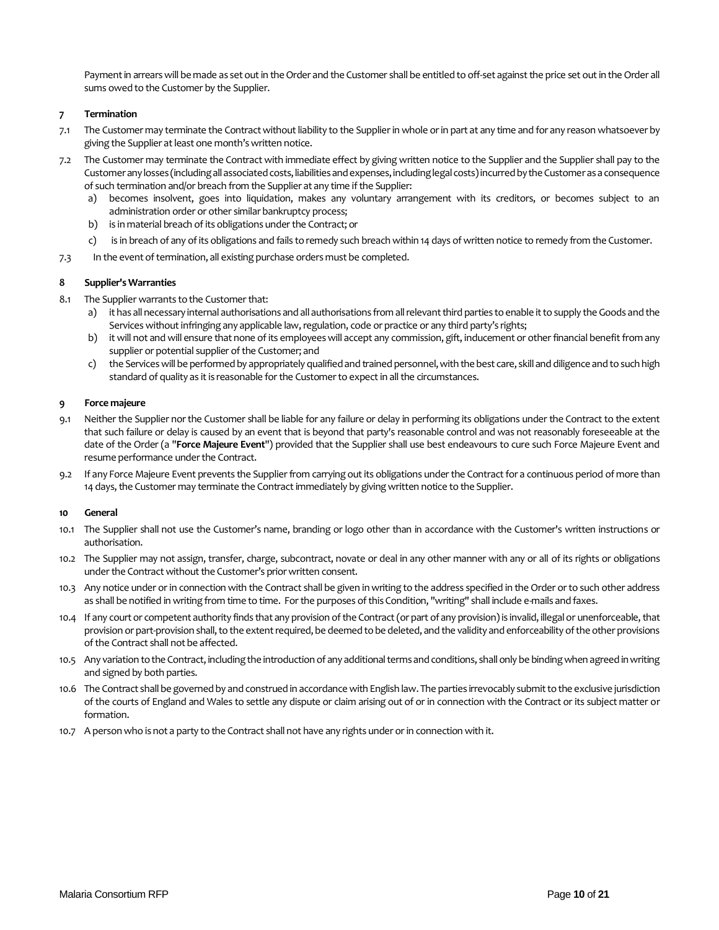Payment in arrears will be made as set out in the Order and the Customer shall be entitled to off-set against the price set out in the Order all sums owed to the Customer by the Supplier.

### **7 Termination**

- 7.1 The Customer may terminate the Contract without liability to the Supplier in whole or in part at any time and for any reason whatsoever by giving the Supplier at least one month's written notice.
- 7.2 The Customer may terminate the Contract with immediate effect by giving written notice to the Supplier and the Supplier shall pay to the Customer any losses (including all associated costs, liabilities and expenses, including legal costs) incurred by the Customer as a consequence of such termination and/or breach from the Supplier at any time if the Supplier:
	- a) becomes insolvent, goes into liquidation, makes any voluntary arrangement with its creditors, or becomes subject to an administration order or other similar bankruptcy process;
	- b) is in material breach of its obligations under the Contract; or
	- c) is in breach of any of its obligations and fails to remedy such breach within 14 days of written notice to remedy from the Customer.
- 7.3 In the event of termination, all existing purchase orders must be completed.

### **8 Supplier's Warranties**

- 8.1 The Supplier warrants to the Customer that:
	- a) it has all necessary internal authorisations and all authorisations from all relevant third parties to enable it to supply the Goods and the Services without infringing any applicable law, regulation, code or practice or any third party's rights;
	- b) it will not and will ensure that none of its employees will accept any commission, gift, inducement or other financial benefit from any supplier or potential supplier of the Customer; and
	- c) the Services will be performed by appropriately qualified and trained personnel, with the best care, skill and diligence and to such high standard of quality as it is reasonable for the Customer to expect in all the circumstances.

### **9 Force majeure**

- 9.1 Neither the Supplier nor the Customer shall be liable for any failure or delay in performing its obligations under the Contract to the extent that such failure or delay is caused by an event that is beyond that party's reasonable control and was not reasonably foreseeable at the date of the Order (a "**Force Majeure Event**") provided that the Supplier shall use best endeavours to cure such Force Majeure Event and resume performance under the Contract.
- 9.2 If any Force Majeure Event prevents the Supplier from carrying out its obligations under the Contract for a continuous period of more than 14 days, the Customer may terminate the Contract immediately by giving written notice to the Supplier.

### **10 General**

- 10.1 The Supplier shall not use the Customer's name, branding or logo other than in accordance with the Customer's written instructions or authorisation.
- 10.2 The Supplier may not assign, transfer, charge, subcontract, novate or deal in any other manner with any or all of its rights or obligations under the Contract without the Customer's prior written consent.
- 10.3 Any notice under or in connection with the Contract shall be given in writing to the address specified in the Order or to such other address as shall be notified in writing from time to time. For the purposes of this Condition, "writing" shall include e-mails and faxes.
- 10.4 If any court or competent authority finds that any provision of the Contract (or part of any provision) is invalid, illegal or unenforceable, that provision or part-provision shall, to the extent required, be deemed to be deleted, and the validity and enforceability of the other provisions of the Contract shall not be affected.
- 10.5 Any variation to the Contract, including the introduction of any additional terms and conditions, shall only be binding when agreed in writing and signed by both parties.
- 10.6 The Contract shall be governed by and construed in accordance with English law. The parties irrevocably submit to the exclusive jurisdiction of the courts of England and Wales to settle any dispute or claim arising out of or in connection with the Contract or its subject matter or formation.
- 10.7 A person who is not a party to the Contract shall not have any rights under or in connection with it.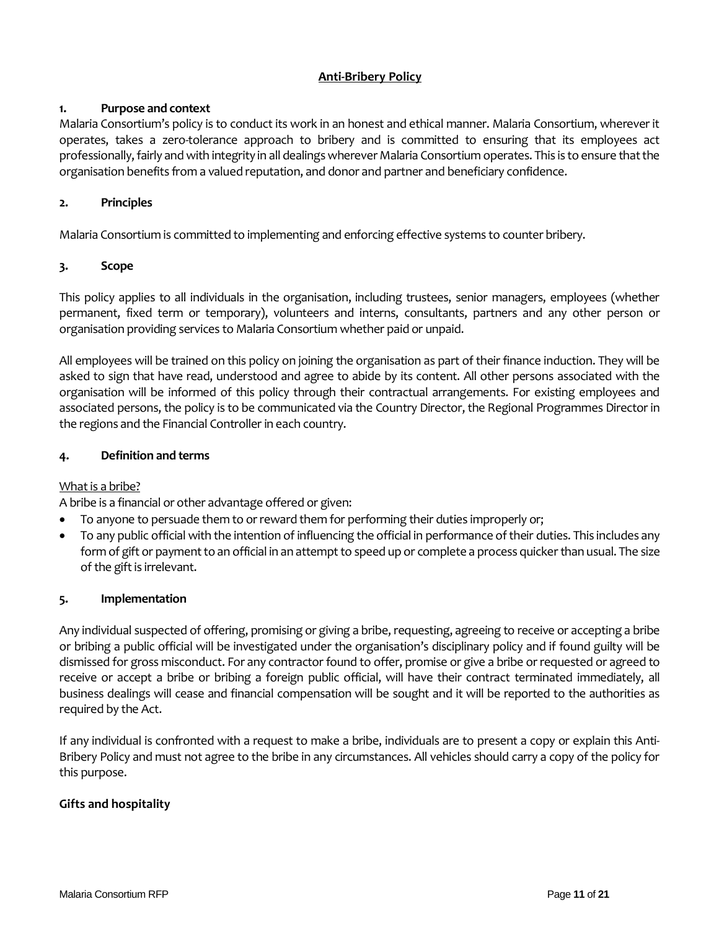## **Anti-Bribery Policy**

## **1. Purpose and context**

Malaria Consortium's policy is to conduct its work in an honest and ethical manner. Malaria Consortium, wherever it operates, takes a zero-tolerance approach to bribery and is committed to ensuring that its employees act professionally, fairly and with integrity in all dealings wherever Malaria Consortium operates. This is to ensure that the organisation benefits from a valued reputation, and donor and partner and beneficiary confidence.

## **2. Principles**

Malaria Consortium is committed to implementing and enforcing effective systems to counter bribery.

## **3. Scope**

This policy applies to all individuals in the organisation, including trustees, senior managers, employees (whether permanent, fixed term or temporary), volunteers and interns, consultants, partners and any other person or organisation providing services to Malaria Consortium whether paid or unpaid.

All employees will be trained on this policy on joining the organisation as part of their finance induction. They will be asked to sign that have read, understood and agree to abide by its content. All other persons associated with the organisation will be informed of this policy through their contractual arrangements. For existing employees and associated persons, the policy is to be communicated via the Country Director, the Regional Programmes Director in the regions and the Financial Controller in each country.

## **4. Definition and terms**

## What is a bribe?

A bribe is a financial or other advantage offered or given:

- To anyone to persuade them to or reward them for performing their duties improperly or;
- To any public official with the intention of influencing the official in performance of their duties. This includes any form of gift or payment to an official in an attempt to speed up or complete a process quicker than usual. The size of the gift is irrelevant.

## **5. Implementation**

Any individual suspected of offering, promising or giving a bribe, requesting, agreeing to receive or accepting a bribe or bribing a public official will be investigated under the organisation's disciplinary policy and if found guilty will be dismissed for gross misconduct. For any contractor found to offer, promise or give a bribe or requested or agreed to receive or accept a bribe or bribing a foreign public official, will have their contract terminated immediately, all business dealings will cease and financial compensation will be sought and it will be reported to the authorities as required by the Act.

If any individual is confronted with a request to make a bribe, individuals are to present a copy or explain this Anti-Bribery Policy and must not agree to the bribe in any circumstances. All vehicles should carry a copy of the policy for this purpose.

## **Gifts and hospitality**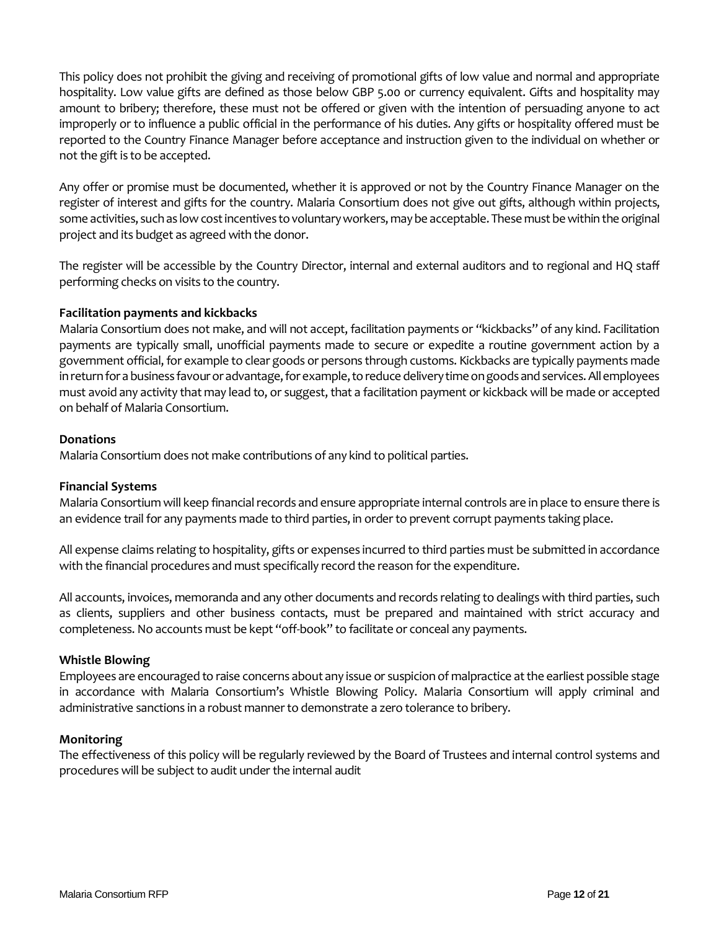This policy does not prohibit the giving and receiving of promotional gifts of low value and normal and appropriate hospitality. Low value gifts are defined as those below GBP 5.00 or currency equivalent. Gifts and hospitality may amount to bribery; therefore, these must not be offered or given with the intention of persuading anyone to act improperly or to influence a public official in the performance of his duties. Any gifts or hospitality offered must be reported to the Country Finance Manager before acceptance and instruction given to the individual on whether or not the gift is to be accepted.

Any offer or promise must be documented, whether it is approved or not by the Country Finance Manager on the register of interest and gifts for the country. Malaria Consortium does not give out gifts, although within projects, some activities, such as low cost incentives to voluntary workers, may be acceptable. These must be within the original project and its budget as agreed with the donor.

The register will be accessible by the Country Director, internal and external auditors and to regional and HQ staff performing checks on visits to the country.

## **Facilitation payments and kickbacks**

Malaria Consortium does not make, and will not accept, facilitation payments or "kickbacks" of any kind. Facilitation payments are typically small, unofficial payments made to secure or expedite a routine government action by a government official, for example to clear goods or persons through customs. Kickbacks are typically payments made in return for a business favour or advantage, for example, to reduce delivery time on goods and services. All employees must avoid any activity that may lead to, or suggest, that a facilitation payment or kickback will be made or accepted on behalf of Malaria Consortium.

## **Donations**

Malaria Consortium does not make contributions of any kind to political parties.

## **Financial Systems**

Malaria Consortium will keep financial records and ensure appropriate internal controls are in place to ensure there is an evidence trail for any payments made to third parties, in order to prevent corrupt payments taking place.

All expense claims relating to hospitality, gifts or expenses incurred to third parties must be submitted in accordance with the financial procedures and must specifically record the reason for the expenditure.

All accounts, invoices, memoranda and any other documents and records relating to dealings with third parties, such as clients, suppliers and other business contacts, must be prepared and maintained with strict accuracy and completeness. No accounts must be kept "off-book" to facilitate or conceal any payments.

## **Whistle Blowing**

Employees are encouraged to raise concerns about any issue or suspicion of malpractice at the earliest possible stage in accordance with Malaria Consortium's Whistle Blowing Policy. Malaria Consortium will apply criminal and administrative sanctions in a robust manner to demonstrate a zero tolerance to bribery.

## **Monitoring**

The effectiveness of this policy will be regularly reviewed by the Board of Trustees and internal control systems and procedures will be subject to audit under the internal audit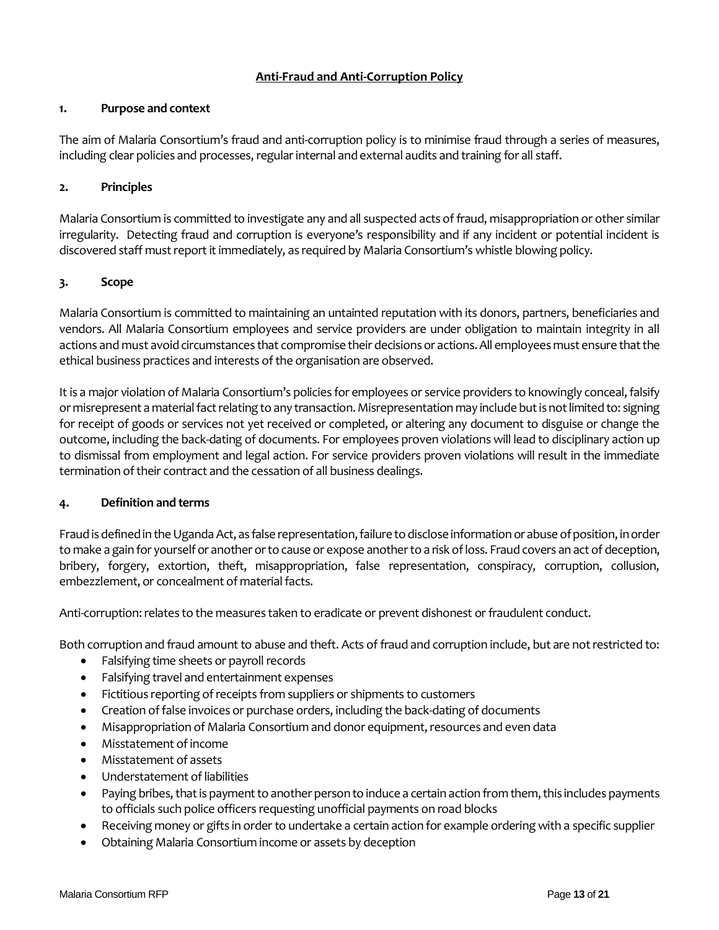## **Anti-Fraud and Anti-Corruption Policy**

### **1. Purpose and context**

The aim of Malaria Consortium's fraud and anti-corruption policy is to minimise fraud through a series of measures, including clear policies and processes, regular internal and external audits and training for all staff.

### **2. Principles**

Malaria Consortium is committed to investigate any and all suspected acts of fraud, misappropriation or other similar irregularity. Detecting fraud and corruption is everyone's responsibility and if any incident or potential incident is discovered staff must report it immediately, as required by Malaria Consortium's whistle blowing policy.

### **3. Scope**

Malaria Consortium is committed to maintaining an untainted reputation with its donors, partners, beneficiaries and vendors. All Malaria Consortium employees and service providers are under obligation to maintain integrity in all actions and must avoid circumstances that compromise their decisions or actions. All employees must ensure that the ethical business practices and interests of the organisation are observed.

It is a major violation of Malaria Consortium's policies for employees or service providers to knowingly conceal, falsify or misrepresent a material fact relating to any transaction. Misrepresentation may include but is not limited to: signing for receipt of goods or services not yet received or completed, or altering any document to disguise or change the outcome, including the back-dating of documents. For employees proven violations will lead to disciplinary action up to dismissal from employment and legal action. For service providers proven violations will result in the immediate termination of their contract and the cessation of all business dealings.

## **4. Definition and terms**

Fraud is defined in the Uganda Act, as false representation, failure to disclose information or abuse of position, in order to make a gain for yourself or another or to cause or expose another to a risk of loss. Fraud covers an act of deception, bribery, forgery, extortion, theft, misappropriation, false representation, conspiracy, corruption, collusion, embezzlement, or concealment of material facts.

Anti-corruption: relates to the measures taken to eradicate or prevent dishonest or fraudulent conduct.

Both corruption and fraud amount to abuse and theft. Acts of fraud and corruption include, but are not restricted to:

- Falsifying time sheets or payroll records
- Falsifying travel and entertainment expenses
- Fictitious reporting of receipts from suppliers or shipments to customers
- Creation of false invoices or purchase orders, including the back-dating of documents
- Misappropriation of Malaria Consortium and donor equipment, resources and even data
- Misstatement of income
- Misstatement of assets
- Understatement of liabilities
- Paying bribes, that is payment to another person to induce a certain action from them, this includes payments to officials such police officers requesting unofficial payments on road blocks
- Receiving money or gifts in order to undertake a certain action for example ordering with a specific supplier
- Obtaining Malaria Consortium income or assets by deception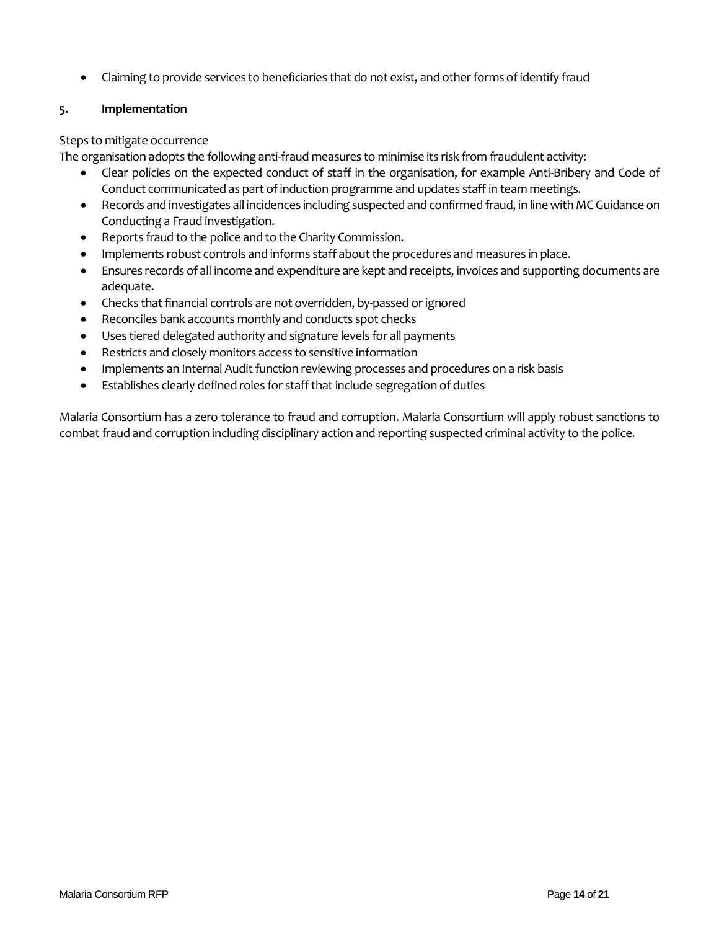• Claiming to provide services to beneficiaries that do not exist, and other forms of identify fraud

## **5. Implementation**

## Steps to mitigate occurrence

The organisation adopts the following anti-fraud measures to minimise its risk from fraudulent activity:

- Clear policies on the expected conduct of staff in the organisation, for example Anti-Bribery and Code of Conduct communicated as part of induction programme and updates staff in team meetings.
- Records and investigates all incidences including suspected and confirmed fraud, in line with MC Guidance on Conducting a Fraud investigation.
- Reports fraud to the police and to the Charity Commission.
- Implements robust controls and informs staff about the procedures and measures in place.
- Ensures records of all income and expenditure are kept and receipts, invoices and supporting documents are adequate.
- Checks that financial controls are not overridden, by-passed or ignored
- Reconciles bank accounts monthly and conducts spot checks
- Uses tiered delegated authority and signature levels for all payments
- Restricts and closely monitors access to sensitive information
- Implements an Internal Audit function reviewing processes and procedures on a risk basis
- Establishes clearly defined roles for staff that include segregation of duties

Malaria Consortium has a zero tolerance to fraud and corruption. Malaria Consortium will apply robust sanctions to combat fraud and corruption including disciplinary action and reporting suspected criminal activity to the police.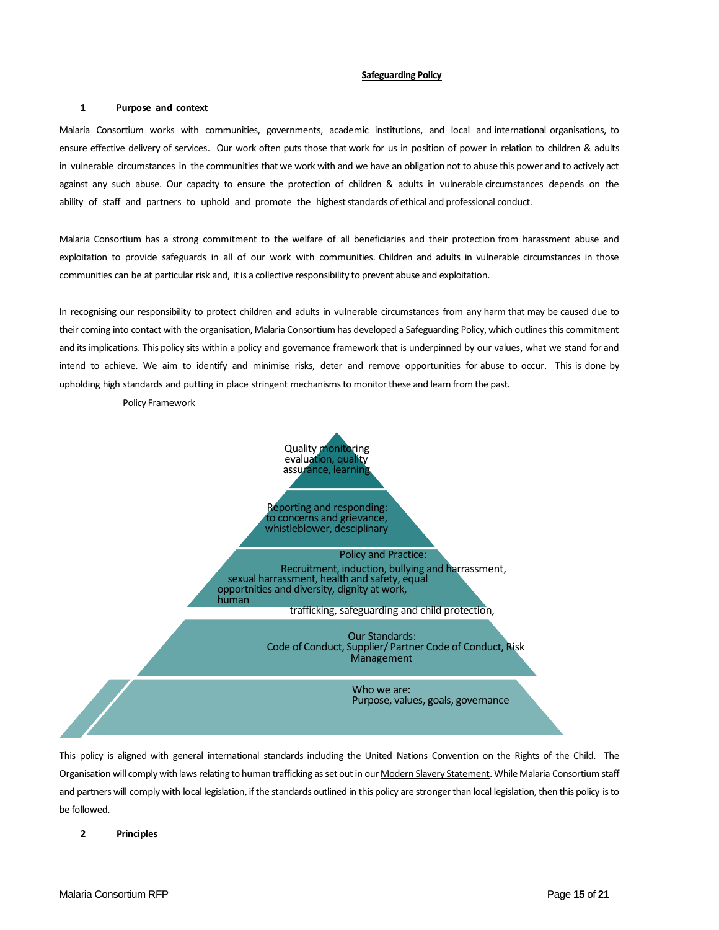### **Safeguarding Policy**

### **1 Purpose and context**

Malaria Consortium works with communities, governments, academic institutions, and local and international organisations, to ensure effective delivery of services. Our work often puts those that work for us in position of power in relation to children & adults in vulnerable circumstances in the communities that we work with and we have an obligation not to abuse this power and to actively act against any such abuse. Our capacity to ensure the protection of children & adults in vulnerable circumstances depends on the ability of staff and partners to uphold and promote the highest standards of ethical and professional conduct.

Malaria Consortium has a strong commitment to the welfare of all beneficiaries and their protection from harassment abuse and exploitation to provide safeguards in all of our work with communities. Children and adults in vulnerable circumstances in those communities can be at particular risk and, it is a collective responsibility to prevent abuse and exploitation.

In recognising our responsibility to protect children and adults in vulnerable circumstances from any harm that may be caused due to their coming into contact with the organisation, Malaria Consortium has developed a Safeguarding Policy, which outlines this commitment and its implications. This policy sits within a policy and governance framework that is underpinned by our values, what we stand for and intend to achieve. We aim to identify and minimise risks, deter and remove opportunities for abuse to occur. This is done by upholding high standards and putting in place stringent mechanisms to monitor these and learn from the past.

Policy Framework



This policy is aligned with general international standards including the United Nations Convention on the Rights of the Child. The Organisation will comply with laws relating to human trafficking as set out in our Modern Slavery [Statement.](https://www.malariaconsortium.org/who_we_are/modern-slavery-statement.htm) While Malaria Consortium staff and partners will comply with local legislation, if the standards outlined in this policy are stronger than local legislation, then this policy is to be followed.

**2 Principles**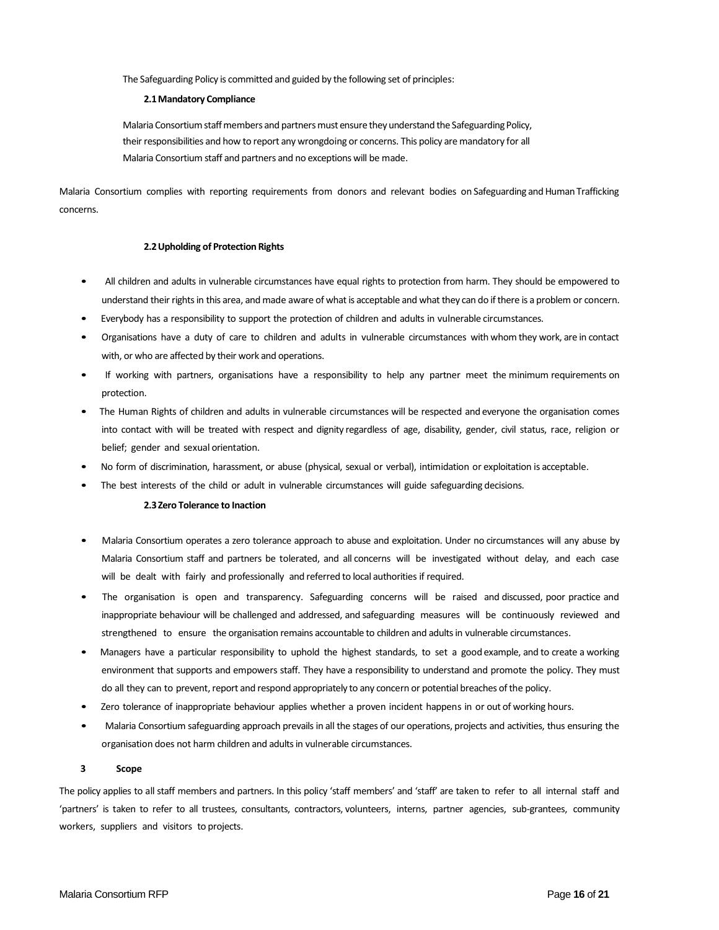The Safeguarding Policy is committed and guided by the following set of principles:

### **2.1Mandatory Compliance**

Malaria Consortium staff members and partners must ensure they understand the Safeguarding Policy, their responsibilities and how to report any wrongdoing or concerns. This policy are mandatory for all Malaria Consortium staff and partners and no exceptions will be made.

Malaria Consortium complies with reporting requirements from donors and relevant bodies on Safeguarding and Human Trafficking concerns.

### **2.2Upholding of Protection Rights**

- All children and adults in vulnerable circumstances have equal rights to protection from harm. They should be empowered to understand their rights in this area, and made aware of what is acceptable and what they can do if there is a problem or concern.
- Everybody has a responsibility to support the protection of children and adults in vulnerable circumstances.
- Organisations have a duty of care to children and adults in vulnerable circumstances with whom they work, are in contact with, or who are affected by their work and operations.
- If working with partners, organisations have a responsibility to help any partner meet the minimum requirements on protection.
- The Human Rights of children and adults in vulnerable circumstances will be respected and everyone the organisation comes into contact with will be treated with respect and dignity regardless of age, disability, gender, civil status, race, religion or belief; gender and sexual orientation.
- No form of discrimination, harassment, or abuse (physical, sexual or verbal), intimidation or exploitation is acceptable.
- The best interests of the child or adult in vulnerable circumstances will guide safeguarding decisions.

### **2.3Zero Tolerance to Inaction**

- Malaria Consortium operates a zero tolerance approach to abuse and exploitation. Under no circumstances will any abuse by Malaria Consortium staff and partners be tolerated, and all concerns will be investigated without delay, and each case will be dealt with fairly and professionally and referred to local authorities if required.
- The organisation is open and transparency. Safeguarding concerns will be raised and discussed, poor practice and inappropriate behaviour will be challenged and addressed, and safeguarding measures will be continuously reviewed and strengthened to ensure the organisation remains accountable to children and adults in vulnerable circumstances.
- Managers have a particular responsibility to uphold the highest standards, to set a good example, and to create a working environment that supports and empowers staff. They have a responsibility to understand and promote the policy. They must do all they can to prevent, report and respond appropriately to any concern or potential breaches of the policy.
- Zero tolerance of inappropriate behaviour applies whether a proven incident happens in or out of working hours.
- Malaria Consortium safeguarding approach prevails in all the stages of our operations, projects and activities, thus ensuring the organisation does not harm children and adults in vulnerable circumstances.

### **3 Scope**

The policy applies to all staff members and partners. In this policy 'staff members' and 'staff' are taken to refer to all internal staff and 'partners' is taken to refer to all trustees, consultants, contractors, volunteers, interns, partner agencies, sub-grantees, community workers, suppliers and visitors to projects.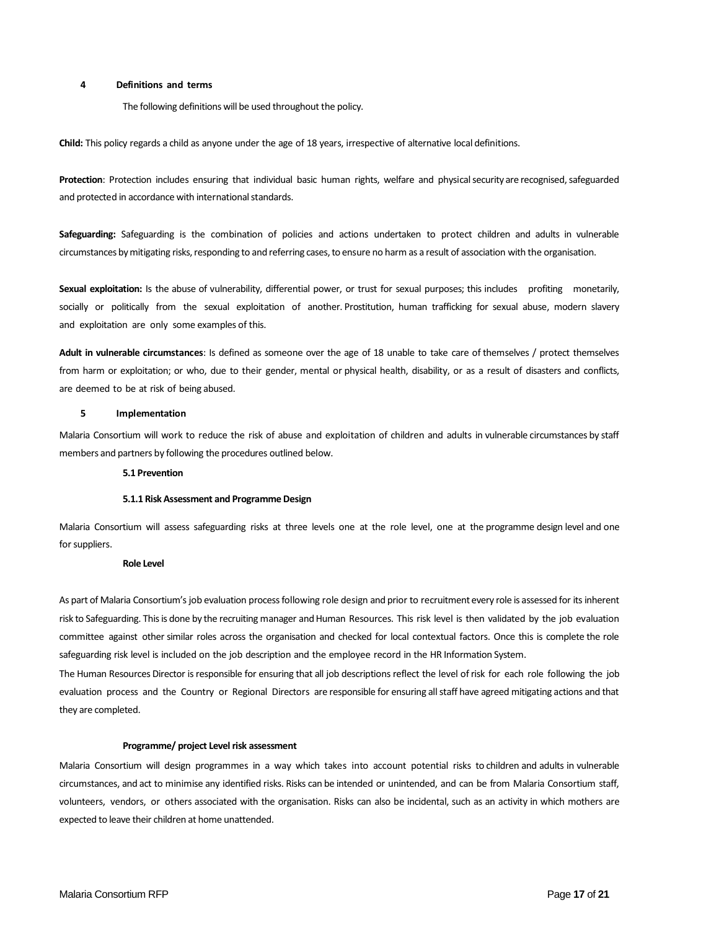### **4 Definitions and terms**

The following definitions will be used throughout the policy.

**Child:** This policy regards a child as anyone under the age of 18 years, irrespective of alternative local definitions.

**Protection**: Protection includes ensuring that individual basic human rights, welfare and physical security are recognised, safeguarded and protected in accordance with international standards.

**Safeguarding:** Safeguarding is the combination of policies and actions undertaken to protect children and adults in vulnerable circumstances by mitigating risks, responding to and referring cases, to ensure no harm as a result of association with the organisation.

Sexual exploitation: Is the abuse of vulnerability, differential power, or trust for sexual purposes; this includes profiting monetarily, socially or politically from the sexual exploitation of another. Prostitution, human trafficking for sexual abuse, modern slavery and exploitation are only some examples of this.

**Adult in vulnerable circumstances**: Is defined as someone over the age of 18 unable to take care of themselves / protect themselves from harm or exploitation; or who, due to their gender, mental or physical health, disability, or as a result of disasters and conflicts, are deemed to be at risk of being abused.

### **5 Implementation**

Malaria Consortium will work to reduce the risk of abuse and exploitation of children and adults in vulnerable circumstances by staff members and partners by following the procedures outlined below.

### **5.1 Prevention**

#### **5.1.1 Risk Assessment and Programme Design**

Malaria Consortium will assess safeguarding risks at three levels one at the role level, one at the programme design level and one for suppliers.

### **Role Level**

As part of Malaria Consortium's job evaluation process following role design and prior to recruitment every role is assessed for its inherent risk to Safeguarding. Thisis done by the recruiting manager and Human Resources. This risk level is then validated by the job evaluation committee against other similar roles across the organisation and checked for local contextual factors. Once this is complete the role safeguarding risk level is included on the job description and the employee record in the HR Information System.

The Human Resources Director is responsible for ensuring that all job descriptions reflect the level of risk for each role following the job evaluation process and the Country or Regional Directors are responsible for ensuring all staff have agreed mitigating actions and that they are completed.

#### **Programme/ project Level risk assessment**

Malaria Consortium will design programmes in a way which takes into account potential risks to children and adults in vulnerable circumstances, and act to minimise any identified risks. Risks can be intended or unintended, and can be from Malaria Consortium staff, volunteers, vendors, or others associated with the organisation. Risks can also be incidental, such as an activity in which mothers are expected to leave their children at home unattended.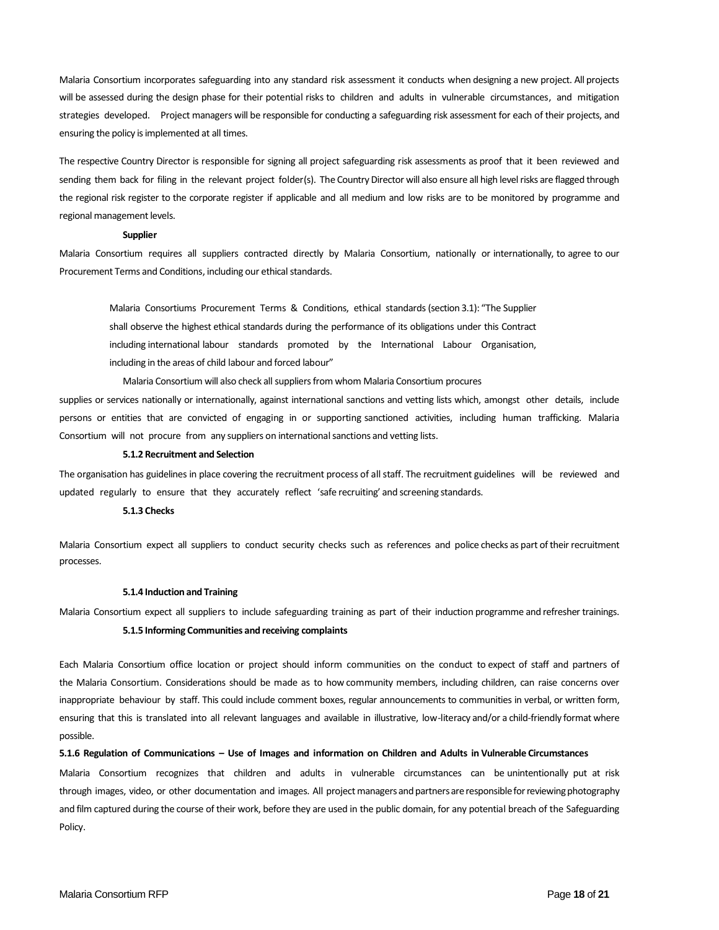Malaria Consortium incorporates safeguarding into any standard risk assessment it conducts when designing a new project. All projects will be assessed during the design phase for their potential risks to children and adults in vulnerable circumstances, and mitigation strategies developed. Project managers will be responsible for conducting a safeguarding risk assessment for each of their projects, and ensuring the policy is implemented at all times.

The respective Country Director is responsible for signing all project safeguarding risk assessments as proof that it been reviewed and sending them back for filing in the relevant project folder(s). The Country Director will also ensure all high level risks are flagged through the regional risk register to the corporate register if applicable and all medium and low risks are to be monitored by programme and regional management levels.

#### **Supplier**

Malaria Consortium requires all suppliers contracted directly by Malaria Consortium, nationally or internationally, to agree to our Procurement Terms and Conditions, including our ethical standards.

Malaria Consortiums Procurement Terms & Conditions, ethical standards (section 3.1): "The Supplier shall observe the highest ethical standards during the performance of its obligations under this Contract including international labour standards promoted by the International Labour Organisation, including in the areas of child labour and forced labour"

Malaria Consortium will also check all suppliers from whom Malaria Consortium procures supplies or services nationally or internationally, against international sanctions and vetting lists which, amongst other details, include persons or entities that are convicted of engaging in or supporting sanctioned activities, including human trafficking. Malaria

### **5.1.2 Recruitment and Selection**

Consortium will not procure from any suppliers on international sanctions and vetting lists.

The organisation has guidelines in place covering the recruitment process of all staff. The recruitment guidelines will be reviewed and updated regularly to ensure that they accurately reflect 'safe recruiting' and screening standards.

### **5.1.3 Checks**

Malaria Consortium expect all suppliers to conduct security checks such as references and police checks as part of their recruitment processes.

### **5.1.4 Induction and Training**

Malaria Consortium expect all suppliers to include safeguarding training as part of their induction programme and refresher trainings. **5.1.5 Informing Communities and receiving complaints**

Each Malaria Consortium office location or project should inform communities on the conduct to expect of staff and partners of the Malaria Consortium. Considerations should be made as to how community members, including children, can raise concerns over inappropriate behaviour by staff. This could include comment boxes, regular announcements to communities in verbal, or written form, ensuring that this is translated into all relevant languages and available in illustrative, low-literacy and/or a child-friendly format where possible.

### **5.1.6 Regulation of Communications – Use of Images and information on Children and Adults in Vulnerable Circumstances**

Malaria Consortium recognizes that children and adults in vulnerable circumstances can be unintentionally put at risk through images, video, or other documentation and images. All project managers and partners are responsible for reviewing photography and film captured during the course of their work, before they are used in the public domain, for any potential breach of the Safeguarding Policy.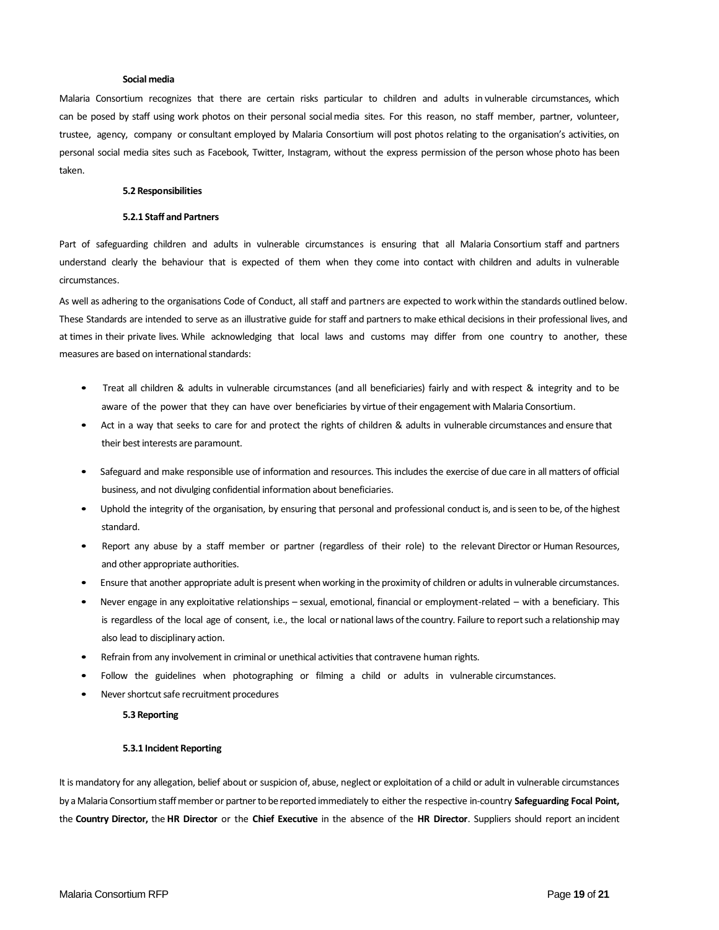#### **Social media**

Malaria Consortium recognizes that there are certain risks particular to children and adults in vulnerable circumstances, which can be posed by staff using work photos on their personal social media sites. For this reason, no staff member, partner, volunteer, trustee, agency, company or consultant employed by Malaria Consortium will post photos relating to the organisation's activities, on personal social media sites such as Facebook, Twitter, Instagram, without the express permission of the person whose photo has been taken.

### **5.2 Responsibilities**

### **5.2.1 Staff and Partners**

Part of safeguarding children and adults in vulnerable circumstances is ensuring that all Malaria Consortium staff and partners understand clearly the behaviour that is expected of them when they come into contact with children and adults in vulnerable circumstances.

As well as adhering to the organisations Code of Conduct, all staff and partners are expected to work within the standards outlined below. These Standards are intended to serve as an illustrative guide for staff and partners to make ethical decisions in their professional lives, and at times in their private lives. While acknowledging that local laws and customs may differ from one country to another, these measures are based on international standards:

- Treat all children & adults in vulnerable circumstances (and all beneficiaries) fairly and with respect & integrity and to be aware of the power that they can have over beneficiaries by virtue of their engagement with Malaria Consortium.
- Act in a way that seeks to care for and protect the rights of children & adults in vulnerable circumstances and ensure that their best interests are paramount.
- Safeguard and make responsible use of information and resources. This includes the exercise of due care in all matters of official business, and not divulging confidential information about beneficiaries.
- Uphold the integrity of the organisation, by ensuring that personal and professional conduct is, and is seen to be, of the highest standard.
- Report any abuse by a staff member or partner (regardless of their role) to the relevant Director or Human Resources, and other appropriate authorities.
- Ensure that another appropriate adult is present when working in the proximity of children or adults in vulnerable circumstances.
- Never engage in any exploitative relationships sexual, emotional, financial or employment-related with a beneficiary. This is regardless of the local age of consent, i.e., the local or national laws of the country. Failure to report such a relationship may also lead to disciplinary action.
- Refrain from any involvement in criminal or unethical activities that contravene human rights.
- Follow the guidelines when photographing or filming a child or adults in vulnerable circumstances.
- Never shortcut safe recruitment procedures

#### **5.3 Reporting**

### **5.3.1 Incident Reporting**

It is mandatory for any allegation, belief about or suspicion of, abuse, neglect or exploitation of a child or adult in vulnerable circumstances by a Malaria Consortium staff member or partner to be reported immediately to either the respective in-country **Safeguarding Focal Point,** the **Country Director,** the **HR Director** or the **Chief Executive** in the absence of the **HR Director**. Suppliers should report an incident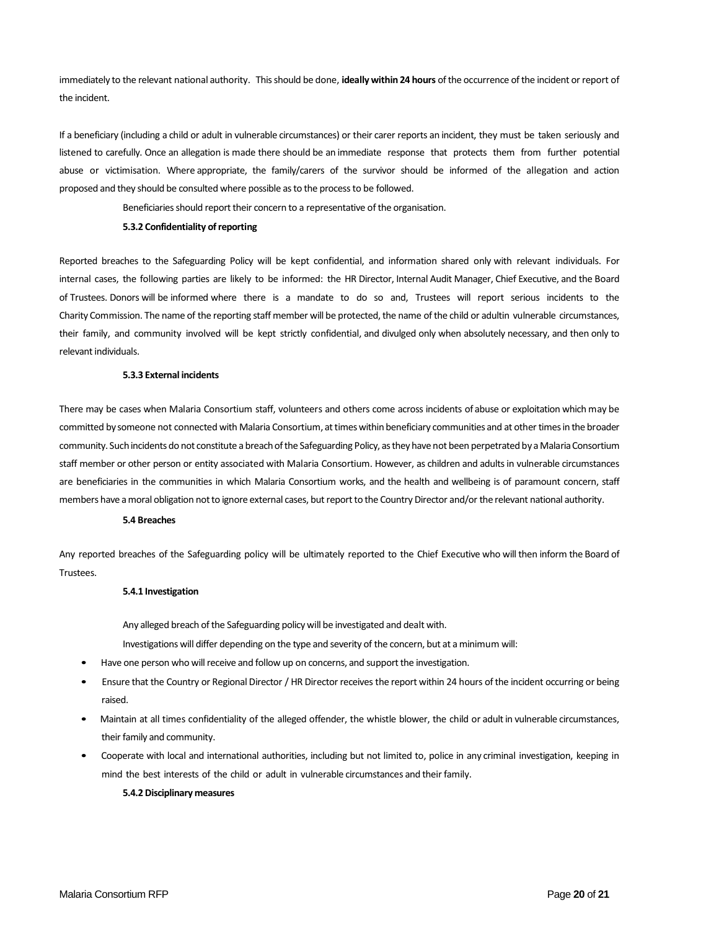immediately to the relevant national authority. This should be done, **ideally within 24 hours** of the occurrence of the incident or report of the incident.

If a beneficiary (including a child or adult in vulnerable circumstances) or their carer reports an incident, they must be taken seriously and listened to carefully. Once an allegation is made there should be an immediate response that protects them from further potential abuse or victimisation. Where appropriate, the family/carers of the survivor should be informed of the allegation and action proposed and they should be consulted where possible as to the process to be followed.

Beneficiaries should report their concern to a representative of the organisation.

### **5.3.2 Confidentiality of reporting**

Reported breaches to the Safeguarding Policy will be kept confidential, and information shared only with relevant individuals. For internal cases, the following parties are likely to be informed: the HR Director, Internal Audit Manager, Chief Executive, and the Board of Trustees. Donors will be informed where there is a mandate to do so and, Trustees will report serious incidents to the Charity Commission. The name of the reporting staff member will be protected, the name of the child or adultin vulnerable circumstances, their family, and community involved will be kept strictly confidential, and divulged only when absolutely necessary, and then only to relevant individuals.

### **5.3.3 External incidents**

There may be cases when Malaria Consortium staff, volunteers and others come across incidents of abuse or exploitation which may be committed by someone not connected with Malaria Consortium, at times within beneficiary communities and at other times in the broader community. Such incidents do not constitute a breach of the Safeguarding Policy, as they have not been perpetrated by a Malaria Consortium staff member or other person or entity associated with Malaria Consortium. However, as children and adults in vulnerable circumstances are beneficiaries in the communities in which Malaria Consortium works, and the health and wellbeing is of paramount concern, staff members have a moral obligation not to ignore external cases, but report to the Country Director and/or the relevant national authority.

#### **5.4 Breaches**

Any reported breaches of the Safeguarding policy will be ultimately reported to the Chief Executive who will then inform the Board of Trustees.

#### **5.4.1 Investigation**

Any alleged breach of the Safeguarding policy will be investigated and dealt with.

Investigations will differ depending on the type and severity of the concern, but at a minimum will:

- Have one person who will receive and follow up on concerns, and support the investigation.
- Ensure that the Country or Regional Director / HR Director receives the report within 24 hours of the incident occurring or being raised.
- Maintain at all times confidentiality of the alleged offender, the whistle blower, the child or adult in vulnerable circumstances, their family and community.
- Cooperate with local and international authorities, including but not limited to, police in any criminal investigation, keeping in mind the best interests of the child or adult in vulnerable circumstances and their family.

### **5.4.2 Disciplinary measures**